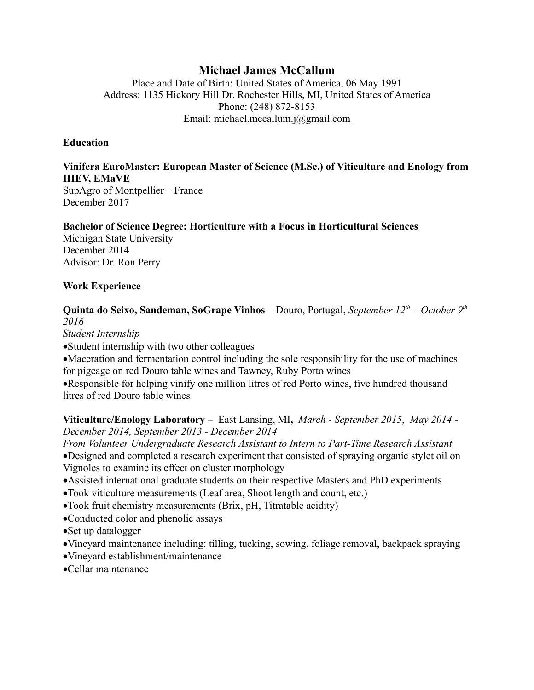# **Michael James McCallum**

Place and Date of Birth: United States of America, 06 May 1991 Address: 1135 Hickory Hill Dr. Rochester Hills, MI, United States of America Phone: (248) 872-8153 Email: michael.mccallum.j@gmail.com

# **Education**

# **Vinifera EuroMaster: European Master of Science (M.Sc.) of Viticulture and Enology from IHEV, EMaVE**

SupAgro of Montpellier – France December 2017

#### **Bachelor of Science Degree: Horticulture with a Focus in Horticultural Sciences**

Michigan State University December 2014 Advisor: Dr. Ron Perry

#### **Work Experience**

# **Quinta do Seixo, Sandeman, SoGrape Vinhos –** Douro, Portugal, *September 12th – October 9th 2016*

*Student Internship*

·Student internship with two other colleagues

·Maceration and fermentation control including the sole responsibility for the use of machines for pigeage on red Douro table wines and Tawney, Ruby Porto wines

·Responsible for helping vinify one million litres of red Porto wines, five hundred thousand litres of red Douro table wines

**Viticulture/Enology Laboratory –** East Lansing, MI**,** *March - September 2015*, *May 2014 - December 2014, September 2013 - December 2014*

*From Volunteer Undergraduate Research Assistant to Intern to Part-Time Research Assistant* ·Designed and completed a research experiment that consisted of spraying organic stylet oil on Vignoles to examine its effect on cluster morphology

- ·Assisted international graduate students on their respective Masters and PhD experiments
- ·Took viticulture measurements (Leaf area, Shoot length and count, etc.)
- ·Took fruit chemistry measurements (Brix, pH, Titratable acidity)
- ·Conducted color and phenolic assays
- ·Set up datalogger
- ·Vineyard maintenance including: tilling, tucking, sowing, foliage removal, backpack spraying
- ·Vineyard establishment/maintenance
- ·Cellar maintenance